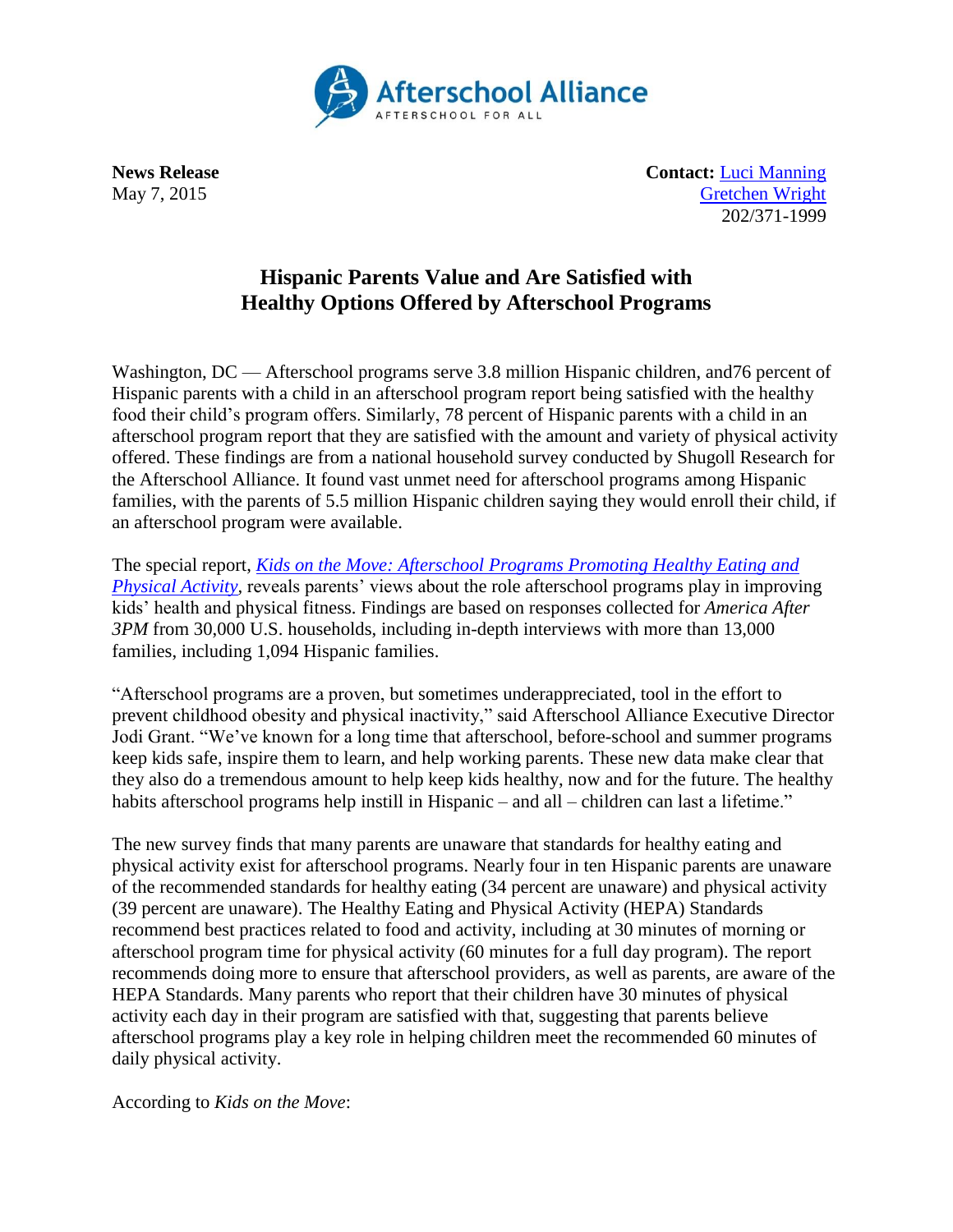

**News Release Contact:** [Luci Manning](mailto:luci@prsolutionsdc.com) May 7, 2015 [Gretchen](mailto:Gretchen@prsolutionsdc.com) Wright 202/371-1999

## **Hispanic Parents Value and Are Satisfied with Healthy Options Offered by Afterschool Programs**

Washington, DC — Afterschool programs serve 3.8 million Hispanic children, and 76 percent of Hispanic parents with a child in an afterschool program report being satisfied with the healthy food their child's program offers. Similarly, 78 percent of Hispanic parents with a child in an afterschool program report that they are satisfied with the amount and variety of physical activity offered. These findings are from a national household survey conducted by Shugoll Research for the Afterschool Alliance. It found vast unmet need for afterschool programs among Hispanic families, with the parents of 5.5 million Hispanic children saying they would enroll their child, if an afterschool program were available.

The special report, *[Kids on the Move: Afterschool Programs Promoting Healthy Eating and](http://www.afterschoolalliance.org/AA3PM/Kids_on_the_Move.pdf)  [Physical Activity,](http://www.afterschoolalliance.org/AA3PM/Kids_on_the_Move.pdf)* reveals parents' views about the role afterschool programs play in improving kids' health and physical fitness. Findings are based on responses collected for *America After 3PM* from 30,000 U.S. households, including in-depth interviews with more than 13,000 families, including 1,094 Hispanic families.

"Afterschool programs are a proven, but sometimes underappreciated, tool in the effort to prevent childhood obesity and physical inactivity," said Afterschool Alliance Executive Director Jodi Grant. "We've known for a long time that afterschool, before-school and summer programs keep kids safe, inspire them to learn, and help working parents. These new data make clear that they also do a tremendous amount to help keep kids healthy, now and for the future. The healthy habits afterschool programs help instill in Hispanic – and all – children can last a lifetime."

The new survey finds that many parents are unaware that standards for healthy eating and physical activity exist for afterschool programs. Nearly four in ten Hispanic parents are unaware of the recommended standards for healthy eating (34 percent are unaware) and physical activity (39 percent are unaware). The Healthy Eating and Physical Activity (HEPA) Standards recommend best practices related to food and activity, including at 30 minutes of morning or afterschool program time for physical activity (60 minutes for a full day program). The report recommends doing more to ensure that afterschool providers, as well as parents, are aware of the HEPA Standards. Many parents who report that their children have 30 minutes of physical activity each day in their program are satisfied with that, suggesting that parents believe afterschool programs play a key role in helping children meet the recommended 60 minutes of daily physical activity.

According to *Kids on the Move*: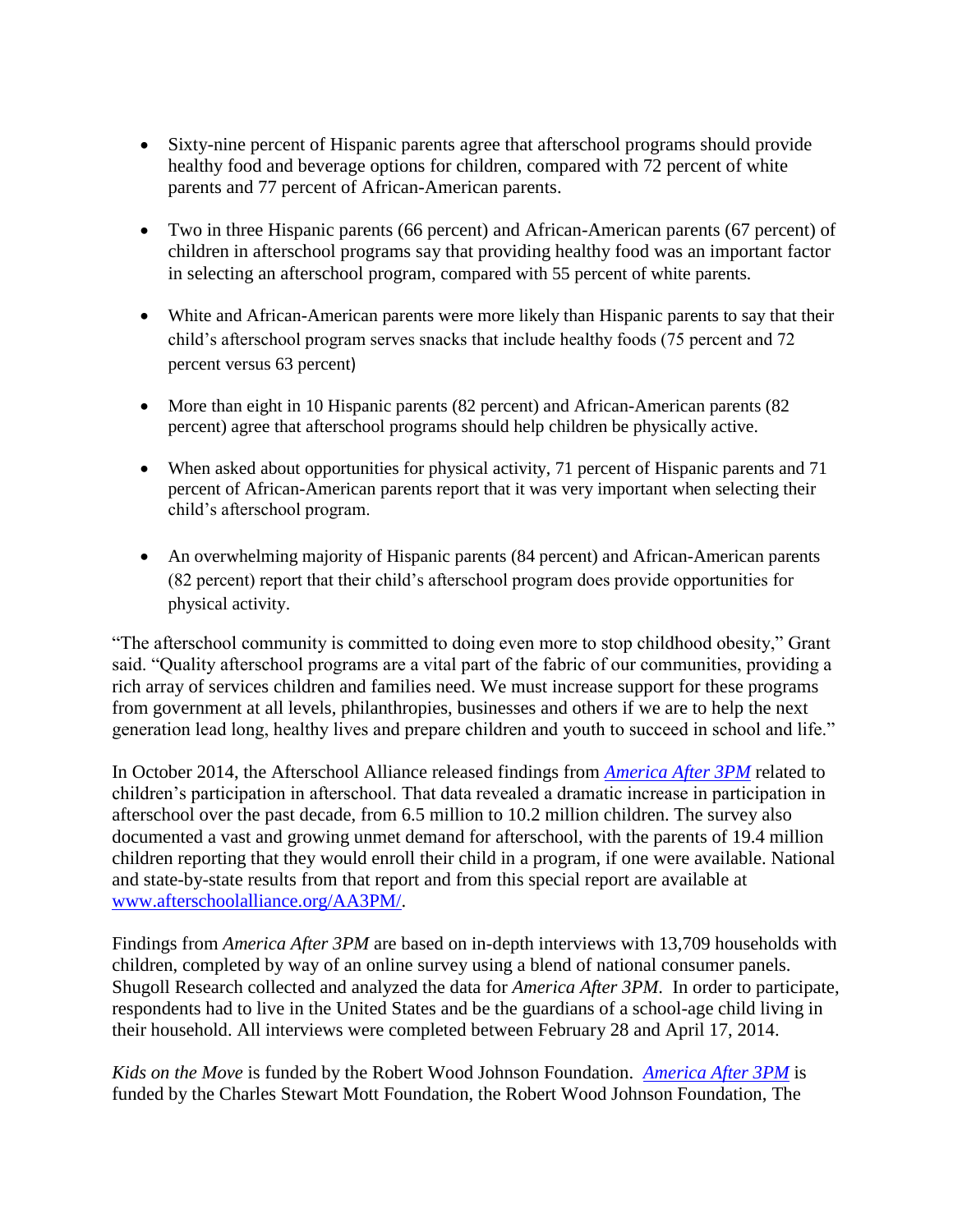- Sixty-nine percent of Hispanic parents agree that afterschool programs should provide healthy food and beverage options for children, compared with 72 percent of white parents and 77 percent of African-American parents.
- Two in three Hispanic parents (66 percent) and African-American parents (67 percent) of children in afterschool programs say that providing healthy food was an important factor in selecting an afterschool program, compared with 55 percent of white parents.
- White and African-American parents were more likely than Hispanic parents to say that their child's afterschool program serves snacks that include healthy foods (75 percent and 72 percent versus 63 percent)
- More than eight in 10 Hispanic parents (82 percent) and African-American parents (82 percent) agree that afterschool programs should help children be physically active.
- When asked about opportunities for physical activity, 71 percent of Hispanic parents and 71 percent of African-American parents report that it was very important when selecting their child's afterschool program.
- An overwhelming majority of Hispanic parents (84 percent) and African-American parents (82 percent) report that their child's afterschool program does provide opportunities for physical activity.

"The afterschool community is committed to doing even more to stop childhood obesity," Grant said. "Quality afterschool programs are a vital part of the fabric of our communities, providing a rich array of services children and families need. We must increase support for these programs from government at all levels, philanthropies, businesses and others if we are to help the next generation lead long, healthy lives and prepare children and youth to succeed in school and life."

In October 2014, the Afterschool Alliance released findings from *[America After 3PM](http://www.afterschoolalliance.org/AA3PM/)* related to children's participation in afterschool. That data revealed a dramatic increase in participation in afterschool over the past decade, from 6.5 million to 10.2 million children. The survey also documented a vast and growing unmet demand for afterschool, with the parents of 19.4 million children reporting that they would enroll their child in a program, if one were available. National and state-by-state results from that report and from this special report are available at [www.afterschoolalliance.org/AA3PM/.](http://www.afterschoolalliance.org/AA3PM/)

Findings from *America After 3PM* are based on in-depth interviews with 13,709 households with children, completed by way of an online survey using a blend of national consumer panels. Shugoll Research collected and analyzed the data for *America After 3PM*. In order to participate, respondents had to live in the United States and be the guardians of a school-age child living in their household. All interviews were completed between February 28 and April 17, 2014.

*Kids on the Move* is funded by the Robert Wood Johnson Foundation. *[America After 3PM](http://www.afterschoolalliance.org/AA3PM)* is funded by the Charles Stewart Mott Foundation, the Robert Wood Johnson Foundation, The